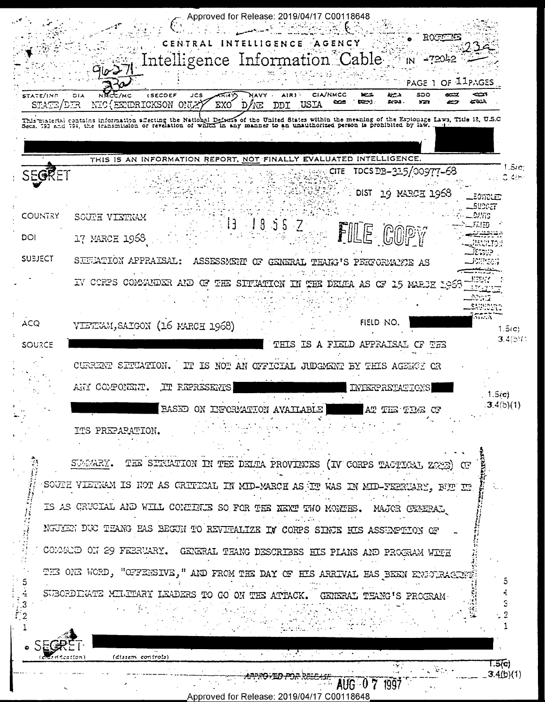Approved for Release: 2019/04/17 C00118648 CENTRAL INTELLIGENCE AGENCY Intelligence Information Cable in -72042 **THE TOPAGE 1 OF IIPAGES CIA/NMCC** STATE/ING **(SECDEF** JCS ক্লেক NAVY . AIR) دريو 500 **OIA**  $\infty$ ديجير **DOM** NIC (EXURICKSON ONEX) STATE/DER ΈΧΟ  $D/KE$ דמת USIA This material contains information affecting the National Defense of the United States within the meaning of the Espionage Laws, Title 12, U.S.C.<br>Secs. 793 and 794, the transmission or revelation of which in any manner to THIS IS AN INFORMATION REPORT, NOT FINALLY EVALUATED INTELLIGENCE  $1.5<sub>1</sub>$ CITE TDCS DB-315/00977-68  $0.4$ (b DIST 19 MARCH 1968 EOWOLED **SUDGET** COUNTRY **DAYIS** SOUTH VIETRAM  $13 1855 Z$  $F_L$ i $\equiv$  $r_t$ FILE COPY וסם 17 MARCH 1968 **WENTS:** JE SUP **SUBJECT** SUFFATION APPRAISAL: ASSESSMENT OF GENERAL THANS'S PERFORMANTE AS Jorneor) ے۔<br>ساتھ  $\mathcal{L}^{\text{max}}_{\text{max}}$  and  $\mathcal{L}^{\text{max}}_{\text{max}}$ KF91. IV CORPS COMMANDER AND OF THE SITUATION IN THE DEUTA AS OF 15 MARJE 1968 21.71 Rosia saucunt 5555 FIELD NO. ACQ VIETEVAM, SAIGON (16 MARCH 1968)  $1.5(c)$  $3.4(5)$ THIS IS A FIELD APPRAISAL CF THE **SOURCE** CURRENT SITUATION. IT IS NOT AN OFFICIAL JUDGMENT BY THIS AGENCY OR ANY COMPONENT. IT EEPRESENTS INTERPRETATIONS  $1.5(c)$  $3.4(b)(1)$ BASED ON INFORMATION AVAILABLE AT THE TEAK OF ITS PREPARATION. SUMMRY. THE SITUATION IN THE DELTA PROVINCES (IV CORPS TACTION ECOS) OF SOUTH VIETNAM IS NOT AS CRITICAL IN MID-MARCH AS IT WAS IN MID-YERKLARY, FULL IN IS AS CRUCIAL AND WILL CONCIDEN SO FOR THE NEXT TWO MONTHS. MAJOR CENERAL NGULEN DUC THANG HAS BEGUN TO REVIFALIZE IV CORPS SINGE HIS ASSEMPTION OF COMMAND ON 29 FEBRUARY. GENERAL THANG DESCRIBES HIS PLANS AND PROGRAM WINE THE ORE WORD, "OFFEREIVE," AND FROM THE DAY OF HIS ARRIVAL HAS BEEN ENDOTRAGENCE SUBORDIGHTE MILTHAT LEADERS TO GO ON THE ATTACK. GENERAL TEANG'S PROGRAM-S  $\cdot$  2  $\mathcal{L}_{\text{max}}$ (dissem controls) िउँकि  $3.4(b)(1)$ **: AUG-07** 1997

Approved for Release: 2019/04/17 C00118648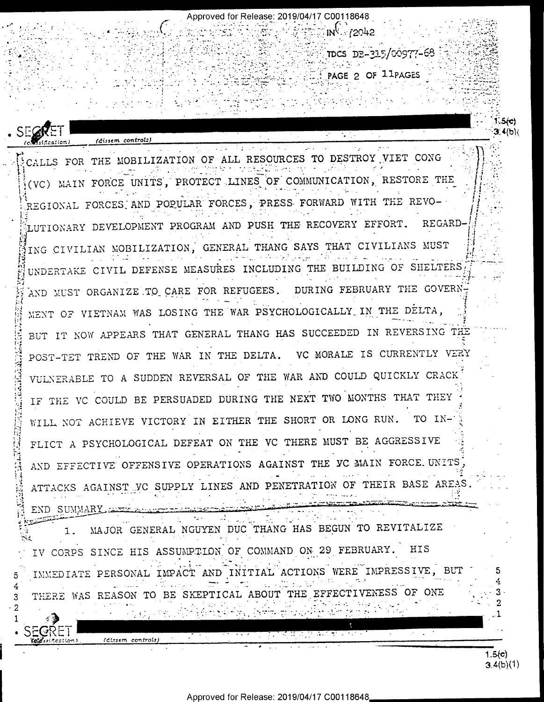Approved for Release: 2019/04/17 C00118648 **FEDERIN 12042** TDCS DP-315/00977-68 PAGE 2 OF 11PAGES  $3.4(b)$  $\mathcal{L}^{\text{max}}$ (dissem control:) CALLS FOR THE MOBILIZATION OF ALL RESOURCES TO DESTROY VIET CONG (VC) MAIN FORCE UNITS, PROTECT LINES OF COMMUNICATION, RESTORE THE REGIONAL FORCES AND POPULAR FORCES, PRESS FORWARD WITH THE REVO-LUTIONARY DEVELOPMENT PROGRAM AND PUSH THE RECOVERY EFFORT. REGARD-ING CIVILIAN MOBILIZATION, GENERAL THANG SAYS THAT CIVILIANS MUST UNDERTAKE CIVIL DEFENSE MEASURES INCLUDING THE BUILDING OF SHELTERS AND MUST ORGANIZE TO CARE FOR REFUGEES. DURING FEBRUARY THE GOVERN-MENT OF VIETNAM WAS LOSING THE WAR PSYCHOLOGICALLY IN THE DELTA, BUT IT NOW APPEARS THAT GENERAL THANG HAS SUCCEEDED IN REVERSING THE POST-TET TREND OF THE WAR IN THE DELTA. VC MORALE IS CURRENTLY VERY VULNERABLE TO A SUDDEN REVERSAL OF THE WAR AND COULD QUICKLY CRACK IF THE VC COULD BE PERSUADED DURING THE NEXT TWO MONTHS THAT THEY WILL NOT ACHIEVE VICTORY IN EITHER THE SHORT OR LONG RUN. TO IN-FLICT A PSYCHOLOGICAL DEFEAT ON THE VC THERE MUST BE AGGRESSIVE AND EFFECTIVE OFFENSIVE OPERATIONS AGAINST THE VC MAIN FORCE UNITS ATTACKS AGAINST VC SUPPLY LINES AND PENETRATION OF THEIR BASE AREAS. END SUMMARY ANTELIAN TELERA MAJOR GENERAL NGUYEN DUC THANG HAS BEGUN TO REVITALIZE 1. IV CORPS SINCE HIS ASSUMPTION OF COMMAND ON 29 FEBRUARY. HIS IMMEDIATE PERSONAL IMPACT AND INITIAL ACTIONS WERE IMPRESSIVE, BUT THERE WAS REASON TO BE SKEPTICAL ABOUT THE EFFECTIVENESS OF ONE 3 2 i ndenge, jermanist (disem controls) Yelevinczion)  $1.5(e)$ 3.4(b)(1)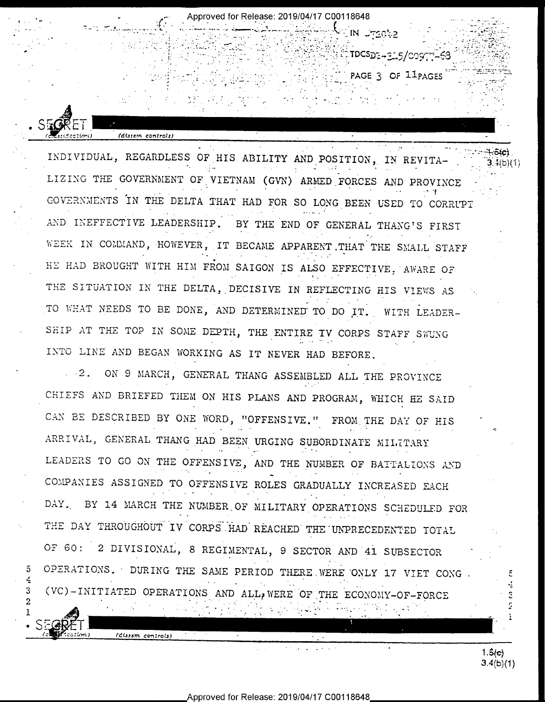INDIVIDUAL, REGARDLESS OF HIS ABILITY AND POSITION, IN REVITA-LIZING THE GOVERNMENT OF VIETNAM (GVN) ARMED FORCES AND PROVINCE GOVERNMENTS IN THE DELTA THAT HAD FOR SO LONG BEEN USED TO CORRUPT AND INEFFECTIVE LEADERSHIP. BY THE END OF GENERAL THANG'S FIRST WEEK IN COMMAND, HOWEVER, IT BECAME APPARENT THAT THE SMALL STAFF HE HAD BROUGHT WITH HIM FROM SAIGON IS ALSO EFFECTIVE, AWARE OF THE SITUATION IN THE DELTA, DECISIVE IN REFLECTING HIS VIEWS AS TO WHAT NEEDS TO BE DONE, AND DETERMINED TO DO IT. WITH LEADER-SHIP AT THE TOP IN SOME DEPTH, THE ENTIRE TV CORPS STAFF SWUNG INTO LINE AND BEGAN WORKING AS IT NEVER HAD BEFORE.

(dissem controls)

(dissem controls)

5

 $\boldsymbol{\mathrm{3}}$  $\overline{2}$  Approved for Release: 2019/04/17 C00118648

**LIN UTERN2** 

ିTDCS<u>Dର⊶ର: 5/୦୦୨୮</u>୮–ରେ

PAGE 3 OF 11PAGES

2. ON 9 MARCH, GENERAL THANG ASSEMBLED ALL THE PROVINCE CHIEFS AND BRIEFED THEM ON HIS PLANS AND PROGRAM, WHICH HE SAID CAN BE DESCRIBED BY ONE WORD, "OFFENSIVE." FROM THE DAY OF HIS ARRIVAL, GENERAL THANG HAD BEEN URGING SUBORDINATE MILITARY LEADERS TO GO ON THE OFFENSIVE, AND THE NUMBER OF BATTALIONS AND COMPANIES ASSIGNED TO OFFENSIVE ROLES GRADUALLY INCREASED EACH DAY. BY 14 MARCH THE NUMBER OF MILITARY OPERATIONS SCHEDULED FOR THE DAY THROUGHOUT IV CORPS HAD REACHED THE UNPRECEDENTED TOTAL OF 60: 2 DIVISIONAL, 8 REGIMENTAL, 9 SECTOR AND 41 SUBSECTOR OPERATIONS. DURING THE SAME PERIOD THERE WERE ONLY 17 VIET CONG. (VC)-INITIATED OPERATIONS AND ALL, WERE OF THE ECONOMY-OF-FORCE

> $1.5(e)$  $3.4(b)(1)$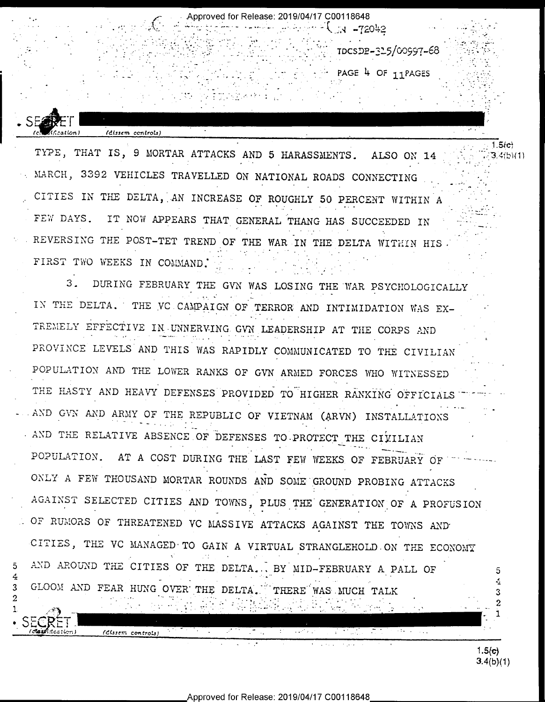TDCSDB-325/00997-68

 $-1$   $-72042$ 

Approved for Release: 2019/04/17 C00118648

 $\sim$  PAGE 4 OF 11 PAGES

TYPE, THAT IS, 9 MORTAR ATTACKS AND 5 HARASSMENTS. ALSO ON 14 MARCH, 3392 VEHICLES TRAVELLED ON NATIONAL ROADS CONNECTING CITIES IN THE DELTA, AN INCREASE OF ROUGHLY 50 PERCENT WITHIN A FEW DAYS. IT NOW APPEARS THAT GENERAL THANG HAS SUCCEEDED IN REVERSING THE POST-TET TREND OF THE WAR IN THE DELTA WITHIN HIS. FIRST TWO WEEKS IN COMMAND.

.<br>(dissem controls)

 $a$ l $(m)$ 

 $\overline{5}$ 

3

2

DURING FEBRUARY THE GVN WAS LOSING THE WAR PSYCHOLOGICALLY  $3<sub>1</sub>$ IN THE DELTA. THE VC CAMPAIGN OF TERROR AND INTIMIDATION WAS EX-TREMELY EFFECTIVE IN UNNERVING GVN LEADERSHIP AT THE CORPS AND PROVINCE LEVELS AND THIS WAS RAPIDLY COMMUNICATED TO THE CIVILIAN POPULATION AND THE LOWER RANKS OF GVN ARMED FORCES WHO WITNESSED THE HASTY AND HEAVY DEFENSES PROVIDED TO HIGHER RANKING OFFICIALS AND GVN AND ARMY OF THE REPUBLIC OF VIETNAM (ARVN) INSTALLATIONS AND THE RELATIVE ABSENCE OF DEFENSES TO PROTECT THE CIVILIAN POPULATION. AT A COST DURING THE LAST FEW WEEKS OF FEBRUARY OF ONLY A FEW THOUSAND MORTAR ROUNDS AND SOME GROUND PROBING ATTACKS AGAINST SELECTED CITIES AND TOWNS, PLUS THE GENERATION OF A PROFUSION OF RUMORS OF THREATENED VC MASSIVE ATTACKS AGAINST THE TOWNS AND CITIES, THE VC MANAGED TO GAIN A VIRTUAL STRANGLEHOLD ON THE ECONOMY AND AROUND THE CITIES OF THE DELTA... BY MID-FEBRUARY A PALL OF 5 4 GLOOM AND FEAR HUNG OVER THE DELTA. THERE WAS MUCH TALK 3 2 (Clistem controls)  $\mathcal{M}^{\mathcal{A}}$  , and  $\mathcal{M}^{\mathcal{A}}$  $\tau_{\rm{max}}$ 

 $1.5(c)$  $3.4(b)(1)$ 

 $1.5(e)$ 

 $3.4(b)(1)$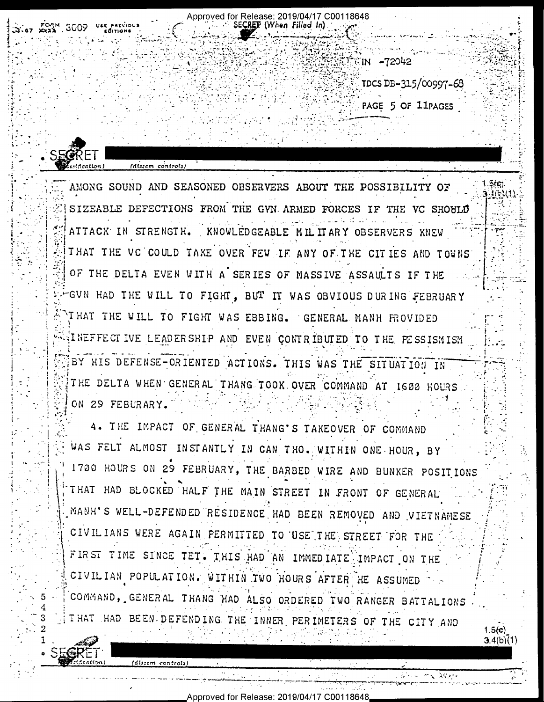SE**CRET** (When Filled In) EIN -72042 TDCS DB-315/00997-68 PAGE 5 OF 11PAGES SECRET (alisem controls)  $.$  $Hf1c1l$ 1.3(c). AMONG SOUND AND SEASONED OBSERVERS ABOUT THE POSSIBILITY OF **14/536** SIZEABLE DEFECTIONS FROM THE GVN ARMED FORCES IF THE VC SHOULD ATTACK IN STRENGTH. KNOWLEDGEABLE MIL IT ARY OBSERVERS KNEW THAT THE VC COULD TAKE OVER FEW IF ANY OF THE CITIES AND TOWNS OF THE DELTA EVEN WITH A SERIES OF MASSIVE ASSAULTS IF THE GVN HAD THE WILL TO FIGHT, BUT IT WAS OBVIOUS DURING FEBRUARY THAT THE WILL TO FIGHT WAS EBBING. GENERAL MANH FROVIDED WEINEFFECTIVE LEADERSHIP AND EVEN CONTRIBUTED TO THE PESSISMISM BY HIS DEFENSE-ORIENTED ACTIONS. THIS WAS THE SITUATION IN THE DELTA WHEN GENERAL THANG TOOK OVER COMMAND AT 1600 HOURS ON 29 FEBURARY. 4. THE IMPACT OF GENERAL THANG'S TAKEOVER OF COMMAND WAS FELT ALMOST INSTANTLY IN CAN THO. WITHIN ONE HOUR, BY 1700 HOURS ON 29 FEBRUARY, THE BARBED WIRE AND BUNKER POSITIONS THAT HAD BLOCKED HALF THE MAIN STREET IN FRONT OF GENERAL MANH'S WELL-DEFENDED RESIDENCE HAD BEEN REMOVED AND VIETNAMESE CIVILIANS WERE AGAIN PERMITTED TO USE THE STREET FOR THE FIRST TIME SINCE TET. THIS HAD AN IMMEDIATE IMPACT ON THE CIVILIAN POPULATION. WITHIN TWO HOURS AFTER HE ASSUMED COMMAND, GENERAL THANG HAD ALSO ORDERED TWO RANGER BATTALIONS

Approved for Release: 2019/04/17 C00118648

I HAT HAD BEEN DEFENDING THE INNER PERIMETERS OF THE CITY AND

(dissem controls

 $1.5(c)$  $3.4(b)(1)$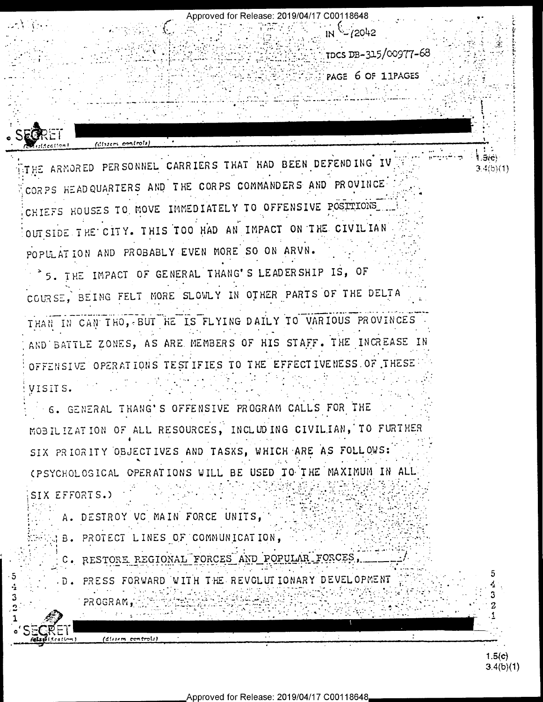Approved for Release: 2019/04/17 C00118648 IN - (2042 TDCS DB-315/00977-68  $T$  page 6 of 11 pages (disservicentrol) THE ARNORED PERSONNEL CARRIERS THAT HAD BEEN DEFENDING IV 5Æ)  $3.4(b)(1)$ CORPS HEADQUARTERS AND THE CORPS COMMANDERS AND PROVINCE CHIEFS HOUSES TO MOVE IMMEDIATELY TO OFFENSIVE POSTITONS OUT SIDE THE CITY. THIS TOO HAD AN IMPACT ON THE CIVILIAN POPULATION AND PROBABLY EVEN MORE SO ON ARVN. 5. THE IMPACT OF GENERAL THANG'S LEADERSHIP IS, OF COURSE, BEING FELT MORE SLOWLY IN OTHER PARTS OF THE DELTA THAN IN CAN THO, BUT HE IS FLYING DAILY TO VARIOUS PROVINCES AND BATTLE ZONES, AS ARE MEMBERS OF HIS STAFF. THE INCREASE IN OFFENSIVE OPERATIONS TESTIFIES TO THE EFFECTIVENESS OF THESE VISITS. 6. GENERAL THANG'S OFFENSIVE PROGRAM CALLS FOR THE MOBILIZATION OF ALL RESOURCES, INCLUDING CIVILIAN, TO FURTHER SIX PRIORITY OBJECTIVES AND TASKS, WHICH ARE AS FOLLOWS: (PSYCHOLOGICAL OPERATIONS WILL BE USED TO THE MAXIMUM IN ALL SIX EFFORTS.) A. DESTROY VC MAIN FORCE UNITS, B. PROTECT LINES OF COMMUNICATION, C. RESTORE REGIONAL FORCES AND POPULAR FORCES, .5 PRESS FORWARD WITH THE REVOLUTIONARY DEVELOPMENT  $.$  D  $.$ 3 3 PROGRAM, 2 (dissem controls)  $1.5(c)$ 

 $3.4(b)(1)$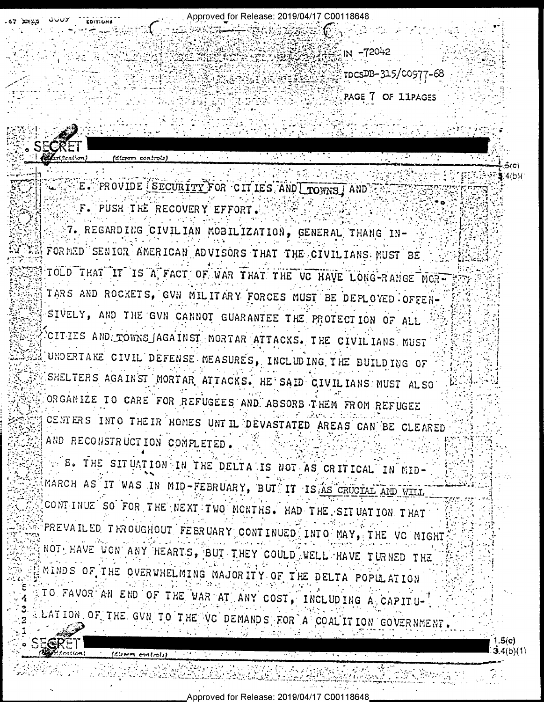Approved for Release: 2019/04/17 C00118648

 $IN - 72042$ 

7DCSDB-315/00977-68

PAGE 7 OF 11PAGES

E. PROVIDE SECURITY FOR CITIES AND LIONNS AND

F. PUSH THE RECOVERY EFFORT.

FÆPF

(Client entroli)

7. REGARDING CIVILIAN MOBILIZATION, GENERAL THANG IN-FORMED SENIOR AMERICAN ADVISORS THAT THE CIVILIANS MUST BE TOLD THAT IT IS A FACT OF WAR THAT THE VC HAVE LONG-RANGE MORE TARS AND ROCKETS, GVN MILITARY FORCES MUST BE DEPLOYED OFFEN-SIVELY, AND THE GVN CANNOT GUARANTEE THE PROTECTION OF ALL CITIES AND TOWNS AGAINST MORTAR ATTACKS. THE CIVILIANS MUST UNDERTAKE CIVIL DEFENSE MEASURES, INCLUDING THE BUILDING OF SHELTERS AGAINST MORTAR ATTACKS. HE SAID CIVILIANS MUST ALSO ORGANIZE TO CARE FOR REFUGEES AND ABSORB THEM FROM REFUGEE CENTERS INTO THEIR HOMES UNTIL DEVASTATED AREAS CAN BE CLEARED AND RECONSTRUCTION COMPLETED.

SE. THE SITUATION IN THE DELTA IS NOT AS CRITICAL IN MID-MARCH AS IT WAS IN MID-FEBRUARY, BUT IT IS AS CRUCIAL AND WILL CONTINUE SO FOR THE NEXT TWO MONTHS. HAD THE SITUATION THAT PREVAILED THROUGHOUT FEBRUARY CONTINUED INTO MAY, THE VC MIGHT NOT HAVE WON ANY HEARTS, BUT THEY COULD WELL HAVE TURNED THE MINDS OF THE OVERWHELMING MAJORITY OF THE DELTA POPULATION TO FAVOR AN END OF THE WAR AT ANY COST, INCLUDING A CAPITU-LATION OF THE GVN TO THE VC DEMANDS FOR A COALITION GOVERNMENT.

> .5(c) **3.4(b)(1)**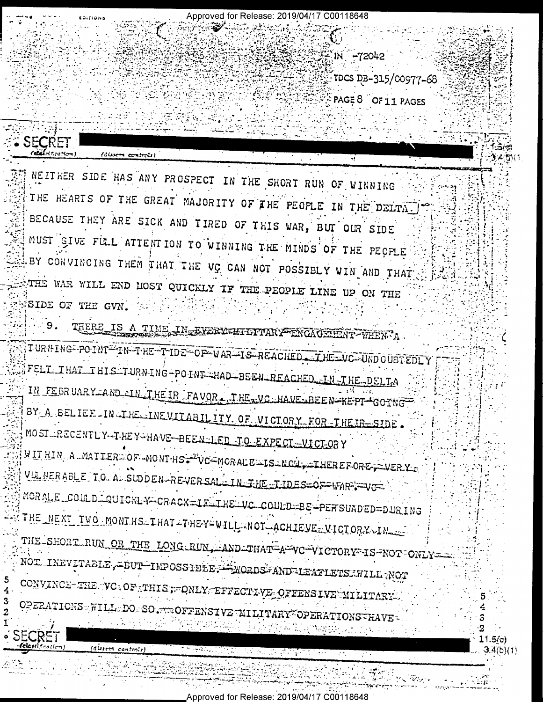

an will be completed

(dissen controls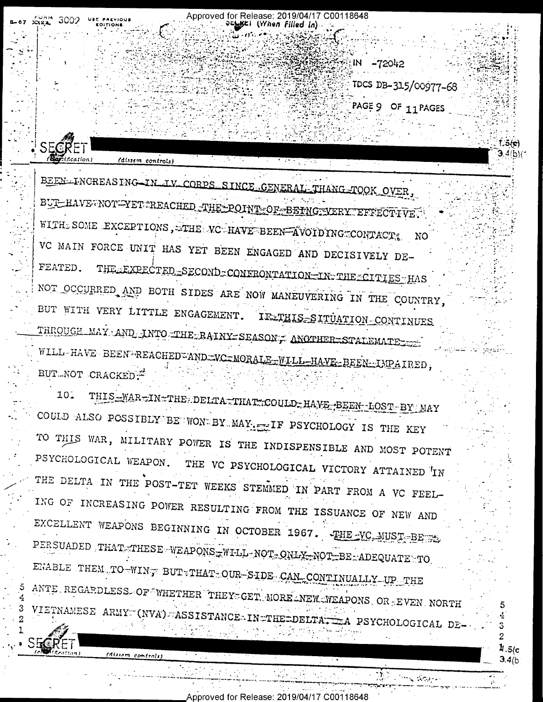Approved for Release: 2019/04/17 C00118648  $(W$ hen Filled In

 $-72042$ 

TDCS DB-315/00977-68

 $\frac{1}{2}$  .5(c

 $3.4(b)$ 

PAGE 9 OF 11 PAGES

IN

BEEN FNCREASING IN IV CORPS SINCE GENERAL THANG TOOK OVER, BUI HAVE NOT YET TREACHED THE POINT OF BEING VERY LEFFECTIVE. WITH SOME EXCEPTIONS, THE VC HAVE BEEN AVOIDING CONTACT. NO VC MAIN FORCE UNIT HAS YET BEEN ENGAGED AND DECISIVELY DE-FEATED. THE EXPECTED SECOND CONFRONTATION IN THE CITIES HAS NOT OCCURRED AND BOTH SIDES ARE NOW MANEUVERING IN THE COUNTRY, BUT WITH VERY LITTLE ENGAGEMENT. IF THIS SITUATION CONTINUES THROUGH MAY AND INTO THE RAINY SEASONT ANOTHER STALEMATE TO: WILL-HAVE BEEN REACHED ANDEVC=MORALE-WILL-HAVE-BEEN-IMPAIRED,

(dissem controls)

THIS WAR THE DELTA THAT COULD HAVE BEEN LOST BY MAY 10. COULD ALSO POSSIBLY BE WON BY MAY ET IF PSYCHOLOGY IS THE KEY TO THIS WAR, MILITARY POWER IS THE INDISPENSIBLE AND MOST POTENT PSYCHOLOGICAL WEAPON. THE VC PSYCHOLOGICAL VICTORY ATTAINED IN THE DELTA IN THE POST-TET WEEKS STEMMED IN PART FROM A VC FEEL-ING OF INCREASING POWER RESULTING FROM THE ISSUANCE OF NEW AND EXCELLENT WEAPONS BEGINNING IN OCTOBER 1967. THE VC. MUST BE PERSUADED THAT THESE WEAPONS WILL NOT ONLY NOT BE ADEQUATE TO ENABLE THEM TO WING BUT THAT OUR SIDE CAN CONTINUALLY UP THE ANTE REGARDLESS OF WHETHER THEY GET MORE NEW WEAPONS OR EVEN NORTH VIETNAMESE ARMY (NVA) ASSISTANCE-IN THE DELTA PSYCHOLOGICAL DE-

 $141111$ 

**BUT-NOT CRACKED**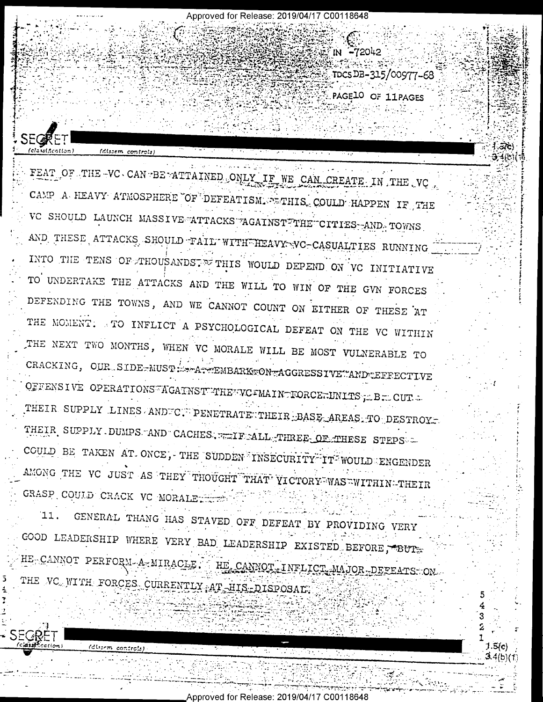FEAT OF THE VC CAN BE ATTAINED ONLY IF WE CAN CREATE IN THE VC CAMP A HEAVY ATMOSPHERE OF DEFEATISM. STIHIS COULD HAPPEN IF THE VC SHOULD LAUNCH MASSIVE ATTACKS AGAINST THE CITIES AND TOWNS AND THESE ATTACKS SHOULD TAIL WITH HEAVY VC-CASUALTIES RUNNING INTO THE TENS OF THOUSANDS. THIS WOULD DEPEND ON VC INITIATIVE TO UNDERTAKE THE ATTACKS AND THE WILL TO WIN OF THE GVN FORCES DEFENDING THE TOWNS, AND WE CANNOT COUNT ON EITHER OF THESE AT THE MOMENT. TO INFLICT A PSYCHOLOGICAL DEFEAT ON THE VC WITHIN THE NEXT TWO MONTHS, WHEN VC MORALE WILL BE MOST VULNERABLE TO CRACKING, OUR SIDE-MUST - - ATTEMBARKTON-AGGRESSIVE "AND LEFFECTIVE OFFENSIVE OPERATIONS AGAINST THE VC = MAIN TORCE TINITS JE BIL CUT = THEIR SUPPLY LINES ANDEC. PENETRATE THEIR BASE AREAS TO DESTROY. THEIR SUPPLY DUMPS AND CACHES, WEIF ALL THREE OF THESE STEPS COULD BE TAKEN AT ONCE, THE SUDDEN INSECURITY IT WOULD ENGENDER AMONG THE VC JUST AS THEY THOUGHT THAT VICTORY WAS WITHIN-THEIR GRASP COULD CRACK VC MORALE

SEGR

(dissem controls)

Approved for Release: 2019/04/17 C00118648

IN -72042

TDCSDB-315/00977-68

 $3.5(c)$ 

PAGE10 OF 11PAGES

GENERAL THANG HAS STAVED OFF DEFEAT BY PROVIDING VERY Ί1. GOOD LEADERSHIP WHERE VERY BAD LEADERSHIP EXISTED BEFORE, BUT HE CANNOT PERFORM A MIRACLE. HE CANNOT INFLICT MAJOR DEFEATS ON THE VC WITH FORCES CURRENTLY AT HIS DISPOSAL.